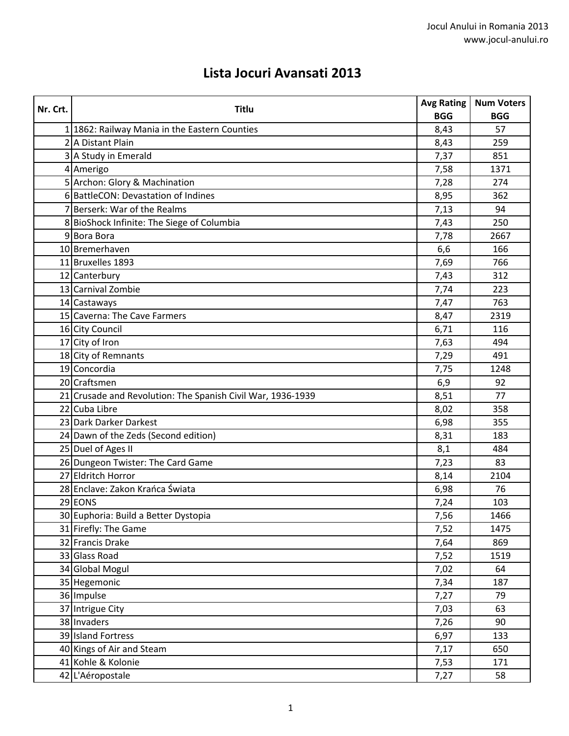## **Lista Jocuri Avansati 2013**

| Nr. Crt. | <b>Titlu</b>                                                | <b>Avg Rating</b> | <b>Num Voters</b> |
|----------|-------------------------------------------------------------|-------------------|-------------------|
|          |                                                             | <b>BGG</b>        | <b>BGG</b>        |
|          | 1 1862: Railway Mania in the Eastern Counties               | 8,43              | 57                |
|          | 2 A Distant Plain                                           | 8,43              | 259               |
|          | 3 A Study in Emerald                                        | 7,37              | 851               |
|          | 4 Amerigo                                                   | 7,58              | 1371              |
|          | 5 Archon: Glory & Machination                               | 7,28              | 274               |
|          | 6 BattleCON: Devastation of Indines                         | 8,95              | 362               |
|          | 7 Berserk: War of the Realms                                | 7,13              | 94                |
|          | 8 BioShock Infinite: The Siege of Columbia                  | 7,43              | 250               |
|          | 9Bora Bora                                                  | 7,78              | 2667              |
|          | 10 Bremerhaven                                              | 6,6               | 166               |
|          | 11 Bruxelles 1893                                           | 7,69              | 766               |
|          | 12 Canterbury                                               | 7,43              | 312               |
|          | 13 Carnival Zombie                                          | 7,74              | 223               |
|          | 14 Castaways                                                | 7,47              | 763               |
|          | 15 Caverna: The Cave Farmers                                | 8,47              | 2319              |
|          | 16 City Council                                             | 6,71              | 116               |
|          | 17 City of Iron                                             | 7,63              | 494               |
|          | 18 City of Remnants                                         | 7,29              | 491               |
|          | 19 Concordia                                                | 7,75              | 1248              |
|          | 20 Craftsmen                                                | 6,9               | 92                |
|          | 21 Crusade and Revolution: The Spanish Civil War, 1936-1939 | 8,51              | 77                |
|          | 22 Cuba Libre                                               | 8,02              | 358               |
|          | 23 Dark Darker Darkest                                      | 6,98              | 355               |
|          | 24 Dawn of the Zeds (Second edition)                        | 8,31              | 183               |
|          | 25 Duel of Ages II                                          | 8,1               | 484               |
|          | 26 Dungeon Twister: The Card Game                           | 7,23              | 83                |
|          | 27 Eldritch Horror                                          | 8,14              | 2104              |
|          | 28 Enclave: Zakon Krańca Świata                             | 6,98              | 76                |
|          | 29 EONS                                                     | 7,24              | 103               |
|          | 30 Euphoria: Build a Better Dystopia                        | 7,56              | 1466              |
|          | 31 Firefly: The Game                                        | 7,52              | 1475              |
|          | 32 Francis Drake                                            | 7,64              | 869               |
|          | 33 Glass Road                                               | 7,52              | 1519              |
|          | 34 Global Mogul                                             | 7,02              | 64                |
|          | 35 Hegemonic                                                | 7,34              | 187               |
|          | 36 Impulse                                                  | 7,27              | 79                |
|          | 37 Intrigue City                                            | 7,03              | 63                |
|          | 38 Invaders                                                 | 7,26              | 90                |
|          | 39 Island Fortress                                          | 6,97              | 133               |
|          | 40 Kings of Air and Steam                                   | 7,17              | 650               |
|          | 41 Kohle & Kolonie                                          | 7,53              | 171               |
|          | 42 L'Aéropostale                                            | 7,27              | 58                |